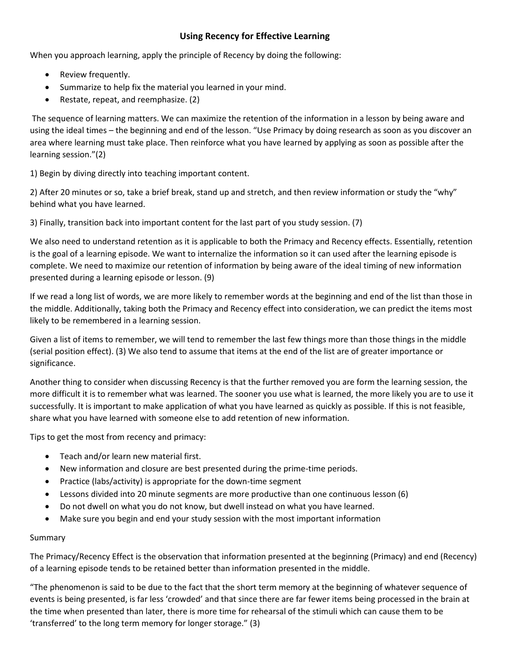## **Using Recency for Effective Learning**

When you approach learning, apply the principle of Recency by doing the following:

- Review frequently.
- Summarize to help fix the material you learned in your mind.
- Restate, repeat, and reemphasize. (2)

The sequence of learning matters. We can maximize the retention of the information in a lesson by being aware and using the ideal times – the beginning and end of the lesson. "Use Primacy by doing research as soon as you discover an area where learning must take place. Then reinforce what you have learned by applying as soon as possible after the learning session."(2)

1) Begin by diving directly into teaching important content.

2) After 20 minutes or so, take a brief break, stand up and stretch, and then review information or study the "why" behind what you have learned.

3) Finally, transition back into important content for the last part of you study session. (7)

We also need to understand retention as it is applicable to both the Primacy and Recency effects. Essentially, retention is the goal of a learning episode. We want to internalize the information so it can used after the learning episode is complete. We need to maximize our retention of information by being aware of the ideal timing of new information presented during a learning episode or lesson. (9)

If we read a long list of words, we are more likely to remember words at the beginning and end of the list than those in the middle. Additionally, taking both the Primacy and Recency effect into consideration, we can predict the items most likely to be remembered in a learning session.

Given a list of items to remember, we will tend to remember the last few things more than those things in the middle (serial position effect). (3) We also tend to assume that items at the end of the list are of greater importance or significance.

Another thing to consider when discussing Recency is that the further removed you are form the learning session, the more difficult it is to remember what was learned. The sooner you use what is learned, the more likely you are to use it successfully. It is important to make application of what you have learned as quickly as possible. If this is not feasible, share what you have learned with someone else to add retention of new information.

Tips to get the most from recency and primacy:

- Teach and/or learn new material first.
- New information and closure are best presented during the prime-time periods.
- Practice (labs/activity) is appropriate for the down-time segment
- Lessons divided into 20 minute segments are more productive than one continuous lesson (6)
- Do not dwell on what you do not know, but dwell instead on what you have learned.
- Make sure you begin and end your study session with the most important information

## Summary

The Primacy/Recency Effect is the observation that information presented at the beginning (Primacy) and end (Recency) of a learning episode tends to be retained better than information presented in the middle.

"The phenomenon is said to be due to the fact that the short term memory at the beginning of whatever sequence of events is being presented, is far less 'crowded' and that since there are far fewer items being processed in the brain at the time when presented than later, there is more time for rehearsal of the stimuli which can cause them to be 'transferred' to the long term memory for longer storage." (3)